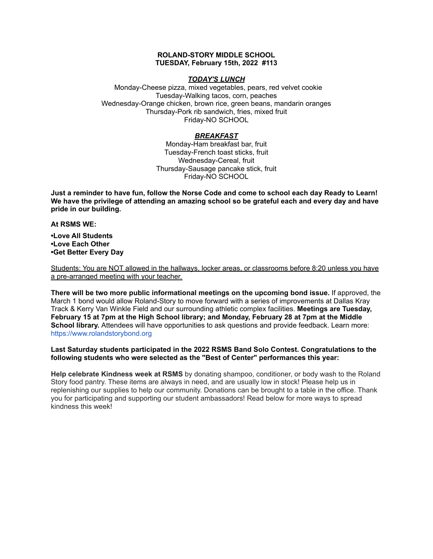## **ROLAND-STORY MIDDLE SCHOOL TUESDAY, February 15th, 2022 #113**

## *TODAY'S LUNCH*

Monday-Cheese pizza, mixed vegetables, pears, red velvet cookie Tuesday-Walking tacos, corn, peaches Wednesday-Orange chicken, brown rice, green beans, mandarin oranges Thursday-Pork rib sandwich, fries, mixed fruit Friday-NO SCHOOL

# *BREAKFAST*

Monday-Ham breakfast bar, fruit Tuesday-French toast sticks, fruit Wednesday-Cereal, fruit Thursday-Sausage pancake stick, fruit Friday-NO SCHOOL

Just a reminder to have fun, follow the Norse Code and come to school each day Ready to Learn! **We have the privilege of attending an amazing school so be grateful each and every day and have pride in our building.**

#### **At RSMS WE:**

**•Love All Students •Love Each Other •Get Better Every Day**

Students: You are NOT allowed in the hallways, locker areas, or classrooms before 8:20 unless you have a pre-arranged meeting with your teacher.

**There will be two more public informational meetings on the upcoming bond issue.** If approved, the March 1 bond would allow Roland-Story to move forward with a series of improvements at Dallas Kray Track & Kerry Van Winkle Field and our surrounding athletic complex facilities. **Meetings are Tuesday, February 15 at 7pm at the High School library; and Monday, February 28 at 7pm at the Middle School library.** Attendees will have opportunities to ask questions and provide feedback. Learn more[:](https://www.rolandstorybond.org/?fbclid=IwAR3AJHhy8S8KvQsof-Z44UTrIBXDkOZFSdMyUXMovrg0bH3FkvkTprNkFuM) [https://www.rolandstorybond.org](https://www.rolandstorybond.org/?fbclid=IwAR3AJHhy8S8KvQsof-Z44UTrIBXDkOZFSdMyUXMovrg0bH3FkvkTprNkFuM)

# **Last Saturday students participated in the 2022 RSMS Band Solo Contest. Congratulations to the following students who were selected as the "Best of Center" performances this year:**

**Help celebrate Kindness week at RSMS** by donating shampoo, conditioner, or body wash to the Roland Story food pantry. These items are always in need, and are usually low in stock! Please help us in replenishing our supplies to help our community. Donations can be brought to a table in the office. Thank you for participating and supporting our student ambassadors! Read below for more ways to spread kindness this week!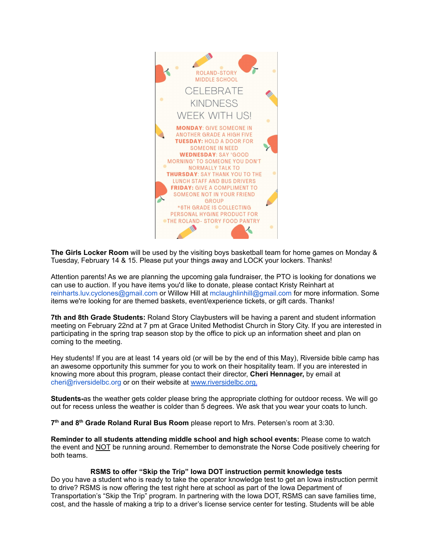

**The Girls Locker Room** will be used by the visiting boys basketball team for home games on Monday & Tuesday, February 14 & 15. Please put your things away and LOCK your lockers. Thanks!

Attention parents! As we are planning the upcoming gala fundraiser, the PTO is looking for donations we can use to auction. If you have items you'd like to donate, please contact Kristy Reinhart at reinharts.luv.cyclones@gmail.com or Willow Hill at mclaughlinhill@gmail.com for more information. Some items we're looking for are themed baskets, event/experience tickets, or gift cards. Thanks!

**7th and 8th Grade Students:** Roland Story Claybusters will be having a parent and student information meeting on February 22nd at 7 pm at Grace United Methodist Church in Story City. If you are interested in participating in the spring trap season stop by the office to pick up an information sheet and plan on coming to the meeting.

Hey students! If you are at least 14 years old (or will be by the end of this May), Riverside bible camp has an awesome opportunity this summer for you to work on their hospitality team. If you are interested in knowing more about this program, please contact their director, **Cheri Hennager,** by email at cheri@riversidelbc.org or on their website at [www.riversidelbc.org.](http://www.riversidelbc.org/)

**Students-**as the weather gets colder please bring the appropriate clothing for outdoor recess. We will go out for recess unless the weather is colder than 5 degrees. We ask that you wear your coats to lunch.

**7 th and 8 th Grade Roland Rural Bus Room** please report to Mrs. Petersen's room at 3:30.

**Reminder to all students attending middle school and high school events:** Please come to watch the event and NOT be running around. Remember to demonstrate the Norse Code positively cheering for both teams.

## **RSMS to offer "Skip the Trip" Iowa DOT instruction permit knowledge tests**

Do you have a student who is ready to take the operator knowledge test to get an Iowa instruction permit to drive? RSMS is now offering the test right here at school as part of the Iowa Department of Transportation's "Skip the Trip" program. In partnering with the Iowa DOT, RSMS can save families time, cost, and the hassle of making a trip to a driver's license service center for testing. Students will be able